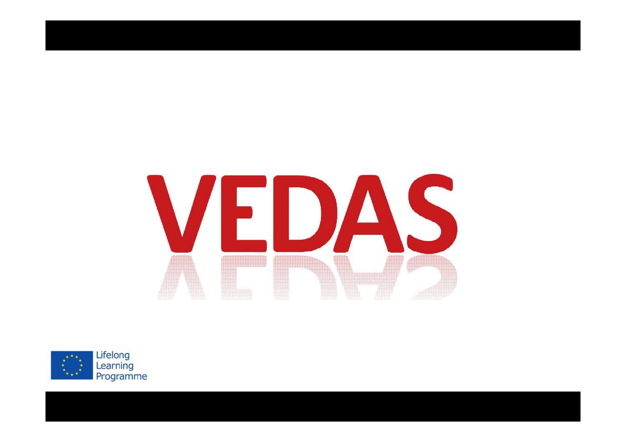# VEDAS **ANDREW MANAGERIER**

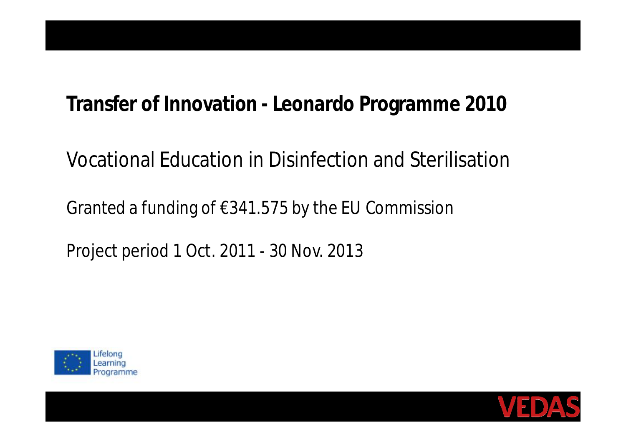## **Transfer of Innovation - Leonardo Programme 2010**

## Vocational Education in Disinfection and Sterilisation

Granted a funding of €341.575 by the EU Commission

Project period 1 Oct. 2011 - 30 Nov. 2013



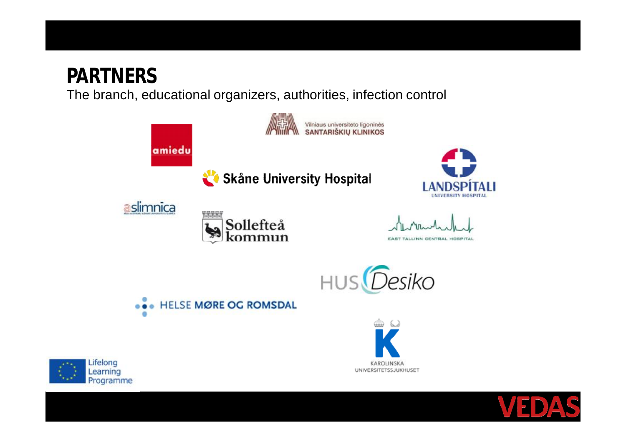# **PARTNERS**

The branch, educational organizers, authorities, infection control

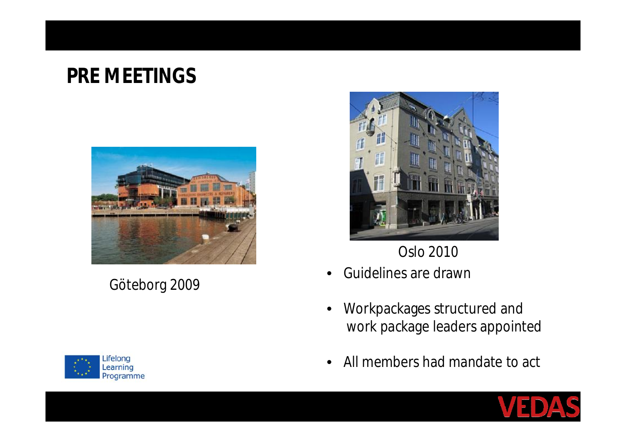# **PRE MEETINGS**



Göteborg 2009



Oslo 2010

- Guidelines are drawn
- Workpackages structured and work package leaders appointed
- All members had mandate to act



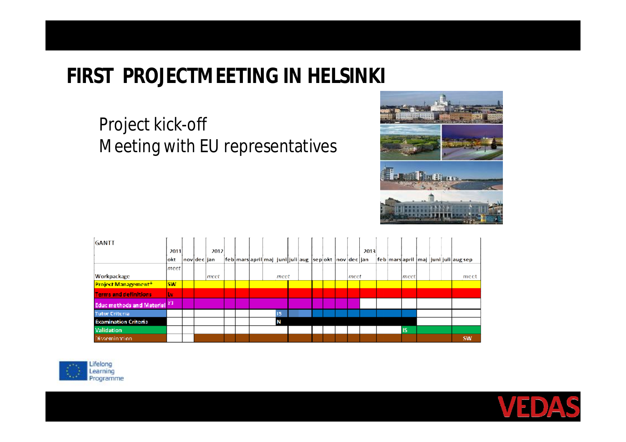# **FIRST PROJECTMEETING IN HELSINKI**

#### Project kick-off Meeting with EU representatives



| GANTT                                 |           |             |      |                                                        |  |      |  |  |      |      |  |           |  |                                     |
|---------------------------------------|-----------|-------------|------|--------------------------------------------------------|--|------|--|--|------|------|--|-----------|--|-------------------------------------|
|                                       | 2011      |             | 2012 |                                                        |  |      |  |  |      | 2013 |  |           |  |                                     |
|                                       | lokt      | nov dec jan |      | feb mars april maj_juni juli aug  sep okt  nov dec jan |  |      |  |  |      |      |  |           |  | feb mars april maj juni juli augsep |
|                                       | meet      |             |      |                                                        |  |      |  |  |      |      |  |           |  |                                     |
| Workpackage                           |           |             | meet |                                                        |  | meet |  |  | meet |      |  | meet      |  | meet                                |
| <b>Project Management<sup>+</sup></b> | <b>SW</b> |             |      |                                                        |  |      |  |  |      |      |  |           |  |                                     |
| <b>Terms and definitions</b>          | Lv        |             |      |                                                        |  |      |  |  |      |      |  |           |  |                                     |
| <b>Educ methods and Material FT</b>   |           |             |      |                                                        |  |      |  |  |      |      |  |           |  |                                     |
| <b>Tutor Criteria</b>                 |           |             |      |                                                        |  | 15   |  |  |      |      |  |           |  |                                     |
| <b>Examination Criteria</b>           |           |             |      |                                                        |  | N    |  |  |      |      |  |           |  |                                     |
| Validation                            |           |             |      |                                                        |  |      |  |  |      |      |  | <b>IS</b> |  |                                     |
| Dissemination                         |           |             |      |                                                        |  |      |  |  |      |      |  |           |  | <b>SW</b>                           |



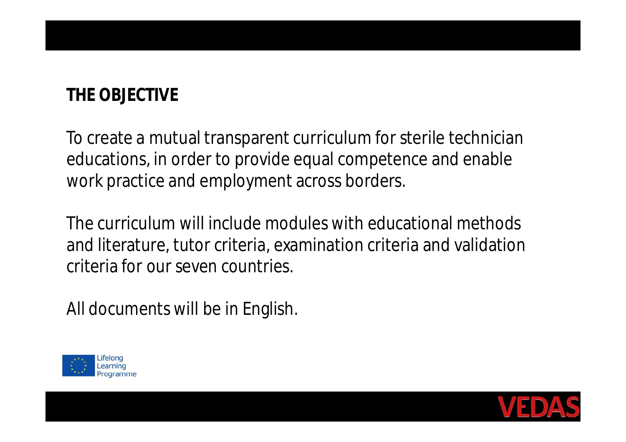#### **THE OBJECTIVE**

To create a mutual transparent curriculum for sterile technician educations, in order to provide equal competence and enable work practice and employment across borders.

The curriculum will include modules with educational methods and literature, tutor criteria, examination criteria and validation criteria for our seven countries.

All documents will be in English.



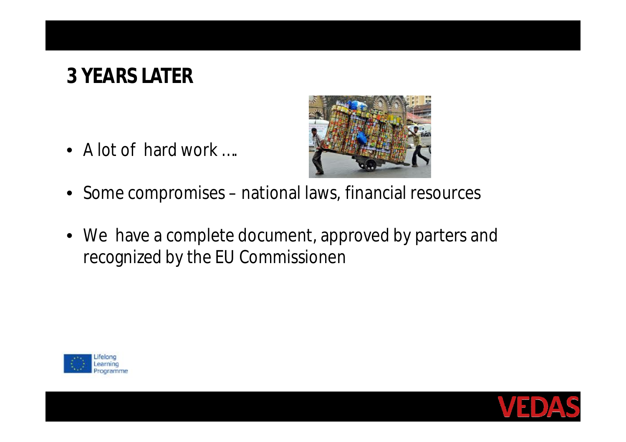# **3 YEARS LATER**

• A lot of hard work ....



- Some compromises national laws, financial resources
- We have a complete document, approved by parters and recognized by the EU Commissionen



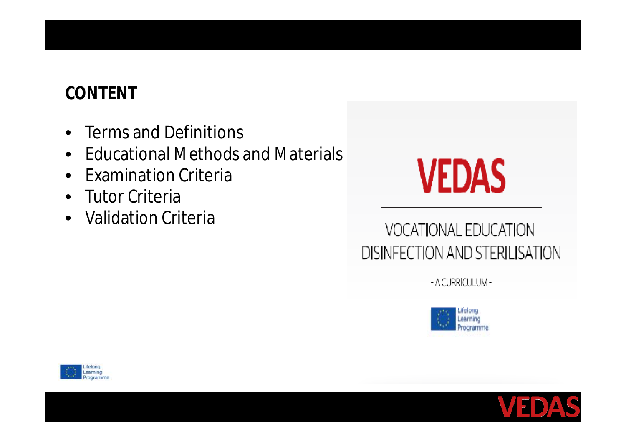#### **CONTENT**

- Terms and Definitions
- Educational Methods and Materials
- Examination Criteria
- Tutor Criteria
- Validation Criteria



#### VOCATIONAL EDUCATION DISINFECTION AND STERILISATION

- A CURRICULUM-





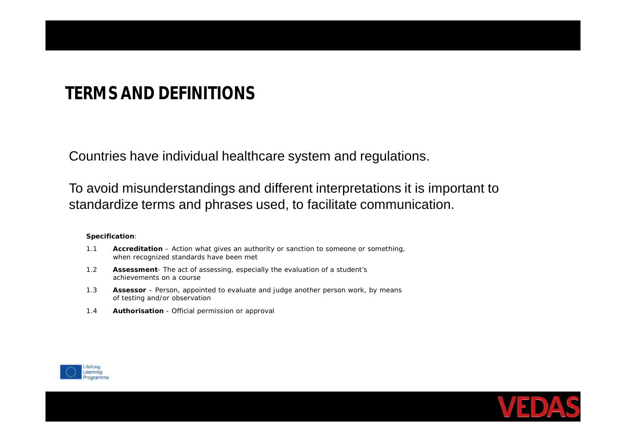#### **TERMS AND DEFINITIONS**

Countries have individual healthcare system and regulations.

To avoid misunderstandings and different interpretations it is important to standardize terms and phrases used, to facilitate communication.

**Specification**:

- 1.1 **Accreditation** *Action what gives an authority or sanction to someone or something, when recognized standards have been met*
- 1.2 **Assessment** *The act of assessing, especially the evaluation of a student's achievements on a course*
- 1.3 **Assessor** *Person, appointed to evaluate and judge another person work, by means of testing and/or observation*
- 1.4 **Authorisation** *Official permission or approval*



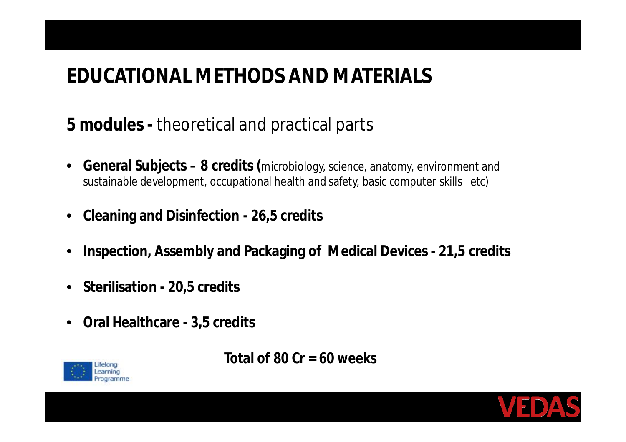# **EDUCATIONAL METHODS AND MATERIALS**

#### **5 modules -** theoretical and practical parts

- **General Subjects – 8 credits (**microbiology, science, anatomy, environment and sustainable development, occupational health and safety, basic computer skills etc)
- **Cleaning and Disinfection - 26,5 credits**
- **Inspection, Assembly and Packaging of Medical Devices - 21,5 credits**
- **Sterilisation - 20,5 credits**
- **Oral Healthcare - 3,5 credits**



**Total of 80 Cr = 60 weeks**

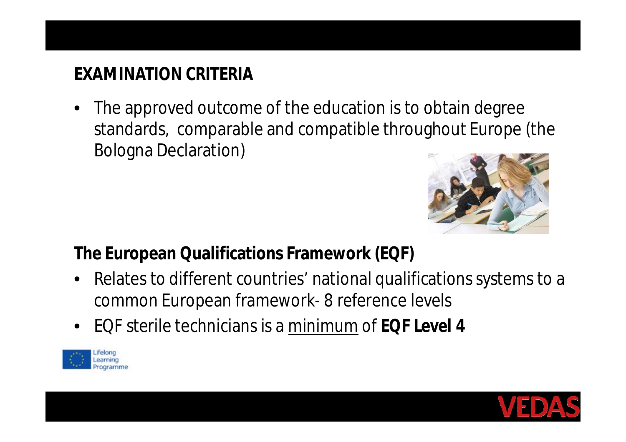#### **EXAMINATION CRITERIA**

• The approved outcome of the education is to obtain degree standards, comparable and compatible throughout Europe (the Bologna Declaration)



**The European Qualifications Framework (EQF)**

- Relates to different countries' national qualifications systems to a common European framework- 8 reference levels
- EQF sterile technicians is a minimum of **EQF Level 4**



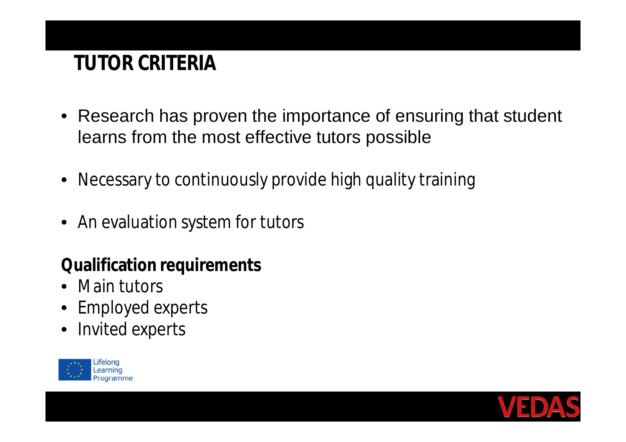# **TUTOR CRITERIA**

- Research has proven the importance of ensuring that student learns from the most effective tutors possible
- Necessary to continuously provide high quality training
- An evaluation system for tutors

**Qualification requirements**

- Main tutors
- Employed experts
- Invited experts



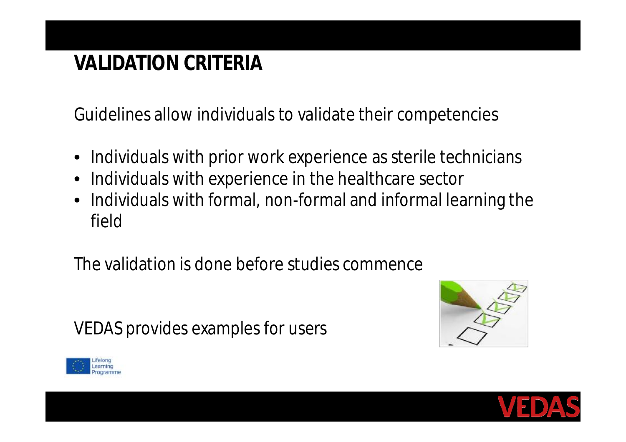# **VALIDATION CRITERIA**

Guidelines allow individuals to validate their competencies

- Individuals with prior work experience as sterile technicians
- Individuals with experience in the healthcare sector
- Individuals with formal, non-formal and informal learning the field

The validation is done before studies commence

VEDAS provides examples for users





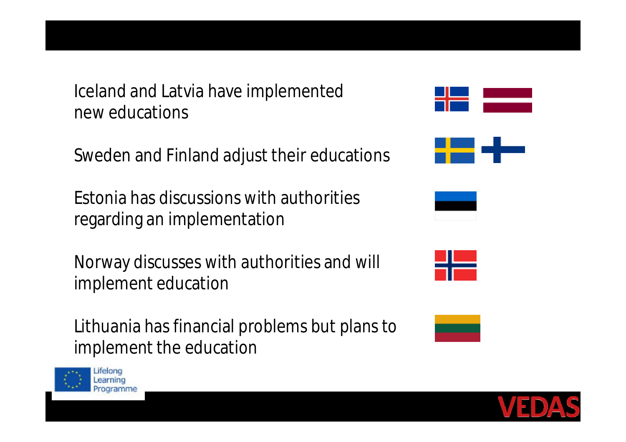**THE ALTERNATIVE IS TO FILL THE WHOLE PAGE** Iceland and Latvia have implemented **Fig. 2.** new educations

Sweden and Finland adjust their educations

Estonia has discussions with authorities regarding an implementation

Norway discusses with authorities and will implement education

Lithuania has financial problems but plans to implement the education











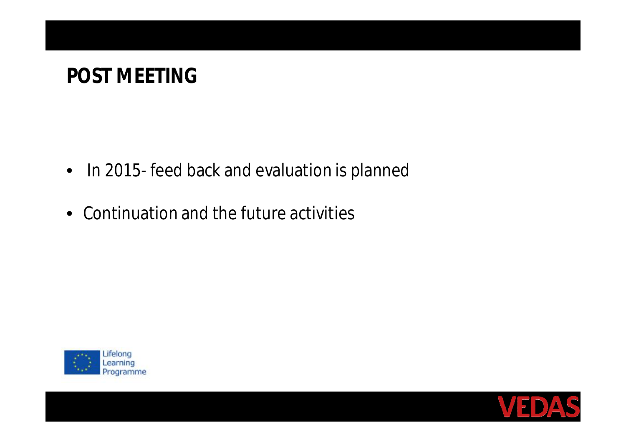# **POST MEETING**

- In 2015- feed back and evaluation is planned
- Continuation and the future activities



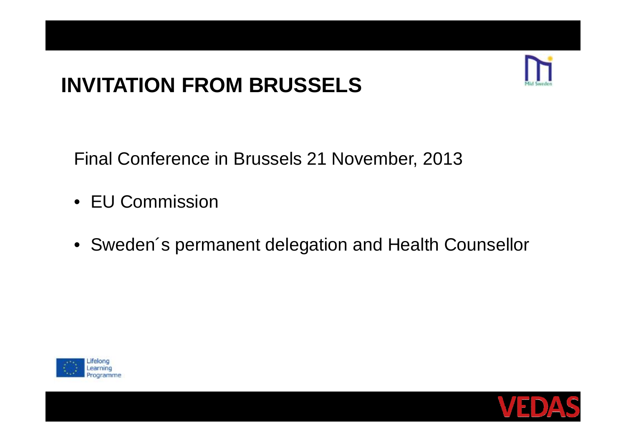# **INVITATION FROM BRUSSELS**



Final Conference in Brussels 21 November, 2013

- EU Commission
- Sweden´s permanent delegation and Health Counsellor



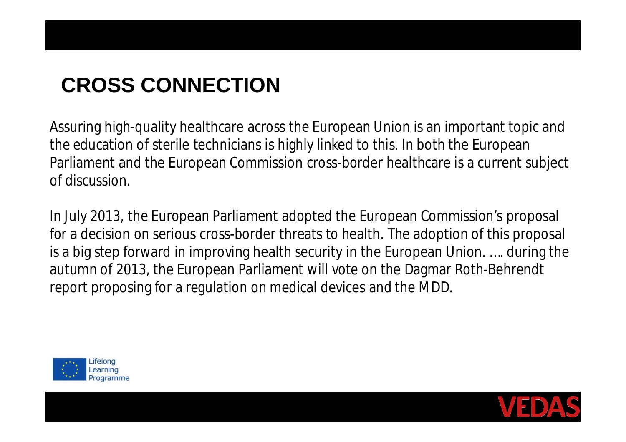# **CROSS CONNECTION**

Assuring high-quality healthcare across the European Union is an important topic and the education of sterile technicians is highly linked to this. In both the European Parliament and the European Commission cross-border healthcare is a current subject of discussion.

In July 2013, the European Parliament adopted the European Commission's proposal for a decision on serious cross-border threats to health. The adoption of this proposal is a big step forward in improving health security in the European Union. …. during the autumn of 2013, the European Parliament will vote on the Dagmar Roth-Behrendt report proposing for a regulation on medical devices and the MDD.



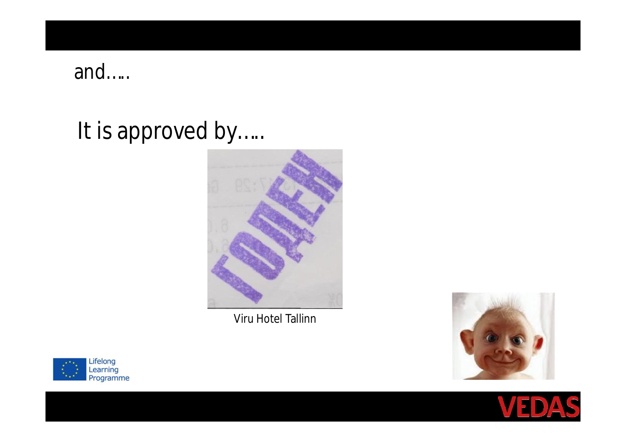#### and…..

# It is approved by.....



Viru Hotel Tallinn